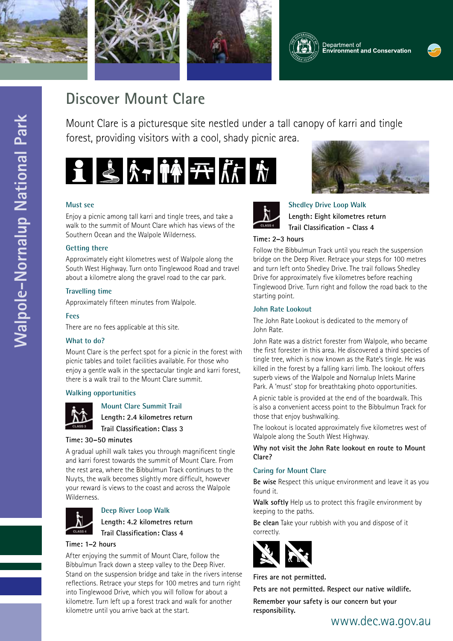







# **Discover Mount Clare**

Mount Clare is a picturesque site nestled under a tall canopy of karri and tingle forest, providing visitors with a cool, shady picnic area.



### **Must see**

Enjoy a picnic among tall karri and tingle trees, and take a walk to the summit of Mount Clare which has views of the Southern Ocean and the Walpole Wilderness.

### **Getting there**

Approximately eight kilometres west of Walpole along the South West Highway. Turn onto Tinglewood Road and travel about a kilometre along the gravel road to the car park.

### **Travelling time**

Approximately fifteen minutes from Walpole.

#### **Fees**

There are no fees applicable at this site.

#### **What to do?**

Mount Clare is the perfect spot for a picnic in the forest with picnic tables and toilet facilities available. For those who enjoy a gentle walk in the spectacular tingle and karri forest, there is a walk trail to the Mount Clare summit.

#### **Walking opportunities**



**Mount Clare Summit Trail**

**Length: 2.4 kilometres return Trail Classification: Class 3**

#### **Time: 30–50 minutes**

A gradual uphill walk takes you through magnificent tingle and karri forest towards the summit of Mount Clare. From the rest area, where the Bibbulmun Track continues to the Nuyts, the walk becomes slightly more difficult, however your reward is views to the coast and across the Walpole Wilderness.



#### **Deep River Loop Walk**

**Length: 4.2 kilometres return Trail Classification: Class 4**

#### **Time: 1–2 hours**

After enjoying the summit of Mount Clare, follow the Bibbulmun Track down a steep valley to the Deep River. Stand on the suspension bridge and take in the rivers intense reflections. Retrace your steps for 100 metres and turn right into Tinglewood Drive, which you will follow for about a kilometre. Turn left up a forest track and walk for another kilometre until you arrive back at the start.





**Shedley Drive Loop Walk Length: Eight kilometres return Trail Classification - Class 4**

#### **Time: 2–3 hours**

Follow the Bibbulmun Track until you reach the suspension bridge on the Deep River. Retrace your steps for 100 metres and turn left onto Shedley Drive. The trail follows Shedley Drive for approximately five kilometres before reaching Tinglewood Drive. Turn right and follow the road back to the starting point.

#### **John Rate Lookout**

The John Rate Lookout is dedicated to the memory of John Rate.

John Rate was a district forester from Walpole, who became the first forester in this area. He discovered a third species of tingle tree, which is now known as the Rate's tingle. He was killed in the forest by a falling karri limb. The lookout offers superb views of the Walpole and Nornalup Inlets Marine Park. A 'must' stop for breathtaking photo opportunities.

A picnic table is provided at the end of the boardwalk. This is also a convenient access point to the Bibbulmun Track for those that enjoy bushwalking.

The lookout is located approximately five kilometres west of Walpole along the South West Highway.

**Why not visit the John Rate lookout en route to Mount Clare?**

#### **Caring for Mount Clare**

**Be wise** Respect this unique environment and leave it as you found it.

**Walk softly** Help us to protect this fragile environment by keeping to the paths.

**Be clean** Take your rubbish with you and dispose of it correctly.



**Fires are not permitted.**

**Pets are not permitted. Respect our native wildlife.**

**Remember your safety is our concern but your responsibility.**